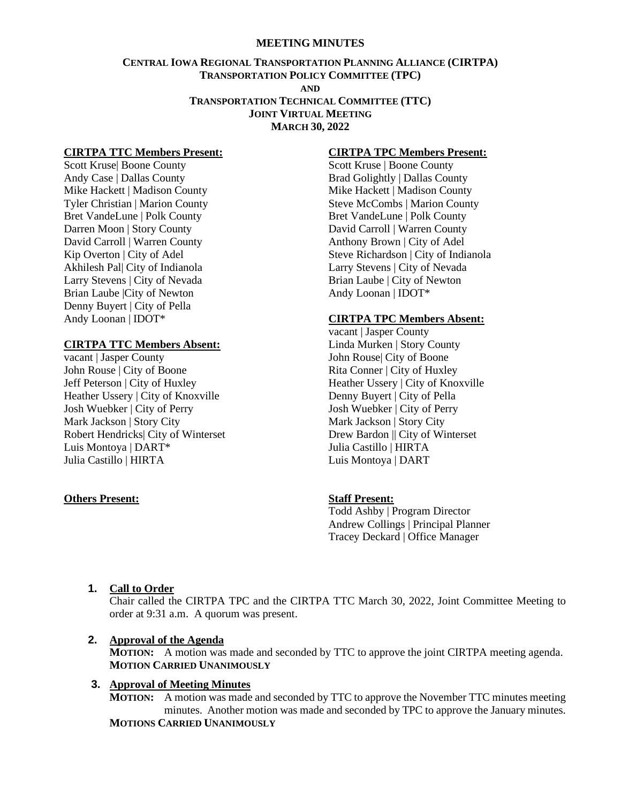#### **MEETING MINUTES**

## **CENTRAL IOWA REGIONAL TRANSPORTATION PLANNING ALLIANCE (CIRTPA) TRANSPORTATION POLICY COMMITTEE (TPC) AND TRANSPORTATION TECHNICAL COMMITTEE (TTC) JOINT VIRTUAL MEETING MARCH 30, 2022**

#### **CIRTPA TTC Members Present:**

Scott Kruse| Boone County Andy Case | Dallas County Mike Hackett | Madison County Tyler Christian | Marion County Bret VandeLune | Polk County Darren Moon | Story County David Carroll | Warren County Kip Overton | City of Adel Akhilesh Pal| City of Indianola Larry Stevens | City of Nevada Brian Laube |City of Newton Denny Buyert | City of Pella Andy Loonan | IDOT\*

#### **CIRTPA TTC Members Absent:**

vacant | Jasper County John Rouse | City of Boone Jeff Peterson | City of Huxley Heather Ussery | City of Knoxville Josh Wuebker | City of Perry Mark Jackson | Story City Robert Hendricks| City of Winterset Luis Montoya | DART\* Julia Castillo | HIRTA

#### **Others Present:**

## **CIRTPA TPC Members Present:**

Scott Kruse | Boone County Brad Golightly | Dallas County Mike Hackett | Madison County Steve McCombs | Marion County Bret VandeLune | Polk County David Carroll | Warren County Anthony Brown | City of Adel Steve Richardson | City of Indianola Larry Stevens | City of Nevada Brian Laube | City of Newton Andy Loonan | IDOT\*

#### **CIRTPA TPC Members Absent:**

vacant | Jasper County Linda Murken | Story County John Rouse| City of Boone Rita Conner | City of Huxley Heather Ussery | City of Knoxville Denny Buyert | City of Pella Josh Wuebker | City of Perry Mark Jackson | Story City Drew Bardon || City of Winterset Julia Castillo | HIRTA Luis Montoya | DART

### **Staff Present:**

Todd Ashby | Program Director Andrew Collings | Principal Planner Tracey Deckard | Office Manager

#### **1. Call to Order**

Chair called the CIRTPA TPC and the CIRTPA TTC March 30, 2022, Joint Committee Meeting to order at 9:31 a.m. A quorum was present.

#### **2. Approval of the Agenda**

**MOTION:** A motion was made and seconded by TTC to approve the joint CIRTPA meeting agenda. **MOTION CARRIED UNANIMOUSLY**

### **3. Approval of Meeting Minutes**

**MOTION:** A motion was made and seconded by TTC to approve the November TTC minutes meeting minutes. Another motion was made and seconded by TPC to approve the January minutes. **MOTIONS CARRIED UNANIMOUSLY**